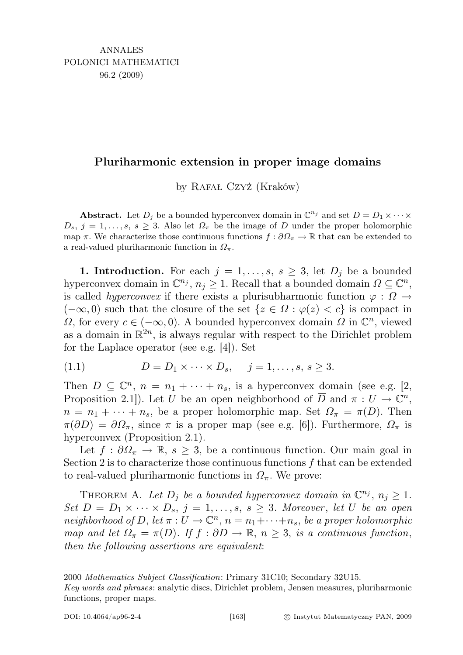# Pluriharmonic extension in proper image domains

by Rafał Czyż (Kraków)

**Abstract.** Let  $D_j$  be a bounded hyperconvex domain in  $\mathbb{C}^{n_j}$  and set  $D = D_1 \times \cdots \times$  $D_s$ ,  $j = 1, \ldots, s$ ,  $s \geq 3$ . Also let  $\Omega_{\pi}$  be the image of D under the proper holomorphic map  $\pi$ . We characterize those continuous functions  $f : \partial \Omega_{\pi} \to \mathbb{R}$  that can be extended to a real-valued pluriharmonic function in  $\Omega_{\pi}$ .

**1. Introduction.** For each  $j = 1, \ldots, s, s \geq 3$ , let  $D_j$  be a bounded hyperconvex domain in  $\mathbb{C}^{n_j}$ ,  $n_j \geq 1$ . Recall that a bounded domain  $\Omega \subseteq \mathbb{C}^n$ , is called *hyperconvex* if there exists a plurisubharmonic function  $\varphi : \Omega \to$  $(-\infty, 0)$  such that the closure of the set  $\{z \in \Omega : \varphi(z) < c\}$  is compact in  $\Omega$ , for every  $c \in (-\infty, 0)$ . A bounded hyperconvex domain  $\Omega$  in  $\mathbb{C}^n$ , viewed as a domain in  $\mathbb{R}^{2n}$ , is always regular with respect to the Dirichlet problem for the Laplace operator (see e.g. [4]). Set

(1.1) 
$$
D = D_1 \times \cdots \times D_s, \quad j = 1, ..., s, s \ge 3.
$$

Then  $D \subseteq \mathbb{C}^n$ ,  $n = n_1 + \cdots + n_s$ , is a hyperconvex domain (see e.g. [2, Proposition 2.1.). Let U be an open neighborhood of  $\overline{D}$  and  $\pi: U \to \mathbb{C}^n$ ,  $n = n_1 + \cdots + n_s$ , be a proper holomorphic map. Set  $\Omega_{\pi} = \pi(D)$ . Then  $\pi(\partial D) = \partial \Omega_{\pi}$ , since  $\pi$  is a proper map (see e.g. [6]). Furthermore,  $\Omega_{\pi}$  is hyperconvex (Proposition 2.1).

Let  $f : \partial \Omega_{\pi} \to \mathbb{R}, s \geq 3$ , be a continuous function. Our main goal in Section 2 is to characterize those continuous functions f that can be extended to real-valued pluriharmonic functions in  $\Omega_{\pi}$ . We prove:

THEOREM A. Let  $D_j$  be a bounded hyperconvex domain in  $\mathbb{C}^{n_j}$ ,  $n_j \geq 1$ . Set  $D = D_1 \times \cdots \times D_s$ ,  $j = 1, \ldots, s$ ,  $s \geq 3$ . Moreover, let U be an open neighborhood of  $\overline{D}$ , let  $\pi: U \to \mathbb{C}^n$ ,  $n = n_1 + \cdots + n_s$ , be a proper holomorphic map and let  $\Omega_{\pi} = \pi(D)$ . If  $f : \partial D \to \mathbb{R}$ ,  $n \geq 3$ , is a continuous function, then the following assertions are equivalent:

<sup>2000</sup> Mathematics Subject Classification: Primary 31C10; Secondary 32U15.

Key words and phrases: analytic discs, Dirichlet problem, Jensen measures, pluriharmonic functions, proper maps.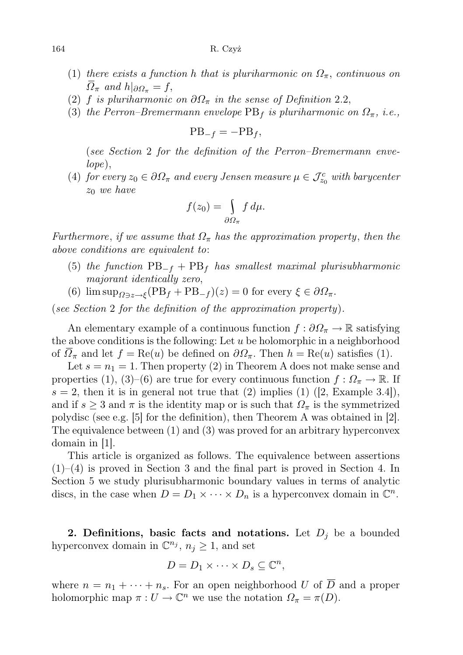- (1) there exists a function h that is pluriharmonic on  $\Omega_{\pi}$ , continuous on  $\Omega_{\pi}$  and  $h|_{\partial \Omega_{\pi}} = f$ ,
- (2) f is pluriharmonic on  $\partial \Omega_{\pi}$  in the sense of Definition 2.2,
- (3) the Perron–Bremermann envelope  $PB<sub>f</sub>$  is pluriharmonic on  $\Omega_{\pi}$ , i.e.,

$$
PB_{-f} = -PB_f,
$$

(see Section 2 for the definition of the Perron–Bremermann envelope),

(4) for every  $z_0 \in \partial \Omega_{\pi}$  and every Jensen measure  $\mu \in \mathcal{J}_{z_0}^c$  with barycenter  $z_0$  we have

$$
f(z_0) = \int\limits_{\partial \Omega_{\pi}} f d\mu.
$$

Furthermore, if we assume that  $\Omega_{\pi}$  has the approximation property, then the above conditions are equivalent to:

- (5) the function  $PB_{-f} + PB_f$  has smallest maximal plurisubharmonic majorant identically zero,
- (6)  $\limsup_{\Omega \ni z \to \xi} (PB_f + PB_{-f})(z) = 0$  for every  $\xi \in \partial \Omega_{\pi}$ .

(see Section 2 for the definition of the approximation property).

An elementary example of a continuous function  $f : \partial \Omega_{\pi} \to \mathbb{R}$  satisfying the above conditions is the following: Let  $u$  be holomorphic in a neighborhood of  $\Omega_{\pi}$  and let  $f = \text{Re}(u)$  be defined on  $\partial \Omega_{\pi}$ . Then  $h = \text{Re}(u)$  satisfies (1).

Let  $s = n_1 = 1$ . Then property (2) in Theorem A does not make sense and properties (1), (3)–(6) are true for every continuous function  $f: \Omega_{\pi} \to \mathbb{R}$ . If  $s = 2$ , then it is in general not true that (2) implies (1) ([2, Example 3.4]), and if  $s \geq 3$  and  $\pi$  is the identity map or is such that  $\Omega_{\pi}$  is the symmetrized polydisc (see e.g. [5] for the definition), then Theorem A was obtained in [2]. The equivalence between (1) and (3) was proved for an arbitrary hyperconvex domain in [1].

This article is organized as follows. The equivalence between assertions  $(1)$ – $(4)$  is proved in Section 3 and the final part is proved in Section 4. In Section 5 we study plurisubharmonic boundary values in terms of analytic discs, in the case when  $D = D_1 \times \cdots \times D_n$  is a hyperconvex domain in  $\mathbb{C}^n$ .

2. Definitions, basic facts and notations. Let  $D_i$  be a bounded hyperconvex domain in  $\mathbb{C}^{n_j}$ ,  $n_j \geq 1$ , and set

$$
D = D_1 \times \cdots \times D_s \subseteq \mathbb{C}^n,
$$

where  $n = n_1 + \cdots + n_s$ . For an open neighborhood U of  $\overline{D}$  and a proper holomorphic map  $\pi: U \to \mathbb{C}^n$  we use the notation  $\Omega_{\pi} = \pi(D)$ .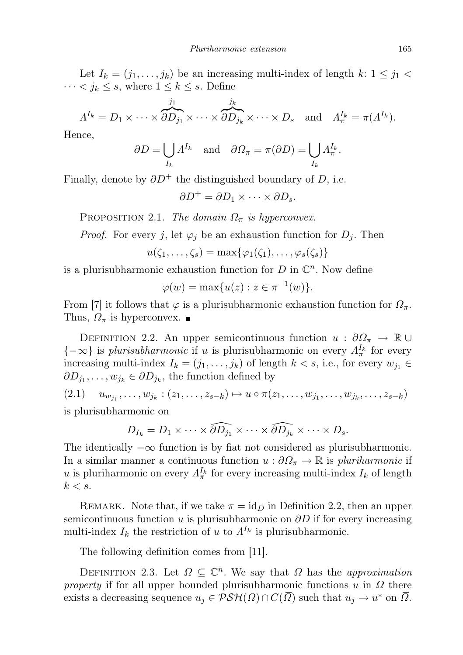Let  $I_k = (j_1, \ldots, j_k)$  be an increasing multi-index of length  $k: 1 \leq j_1$  $\cdots < j_k \leq s$ , where  $1 \leq k \leq s$ . Define

$$
\Lambda^{I_k}=D_1\times\cdots\times \overbrace{\partial D_{j_1}}^{j_1}\times\cdots\times \overbrace{\partial D_{j_k}}^{j_k}\times\cdots\times D_s\quad\text{and}\quad\Lambda_\pi^{I_k}=\pi(\Lambda^{I_k}).
$$

Hence,

$$
\partial D = \bigcup_{I_k} \Lambda^{I_k}
$$
 and  $\partial \Omega_{\pi} = \pi(\partial D) = \bigcup_{I_k} \Lambda_{\pi}^{I_k}$ .

Finally, denote by  $\partial D^+$  the distinguished boundary of D, i.e.

$$
\partial D^+ = \partial D_1 \times \cdots \times \partial D_s.
$$

PROPOSITION 2.1. The domain  $\Omega_{\pi}$  is hyperconvex.

*Proof.* For every j, let  $\varphi_i$  be an exhaustion function for  $D_i$ . Then

$$
u(\zeta_1,\ldots,\zeta_s)=\max\{\varphi_1(\zeta_1),\ldots,\varphi_s(\zeta_s)\}\
$$

is a plurisubharmonic exhaustion function for  $D$  in  $\mathbb{C}^n$ . Now define

$$
\varphi(w) = \max\{u(z) : z \in \pi^{-1}(w)\}.
$$

From [7] it follows that  $\varphi$  is a plurisubharmonic exhaustion function for  $\Omega_{\pi}$ . Thus,  $\Omega_{\pi}$  is hyperconvex.

DEFINITION 2.2. An upper semicontinuous function  $u : \partial \Omega_{\pi} \to \mathbb{R} \cup$  ${-\infty}$  is plurisubharmonic if u is plurisubharmonic on every  $\Lambda_{\pi}^{I_k}$  for every increasing multi-index  $I_k = (j_1, \ldots, j_k)$  of length  $k < s$ , i.e., for every  $w_{j_1} \in$  $\partial D_{j_1}, \ldots, w_{j_k} \in \partial D_{j_k}$ , the function defined by

(2.1) 
$$
u_{w_{j_1}}, \ldots, w_{j_k} : (z_1, \ldots, z_{s-k}) \mapsto u \circ \pi(z_1, \ldots, w_{j_1}, \ldots, w_{j_k}, \ldots, z_{s-k})
$$
  
is plurisubharmonic on

is plurisubharmonic on

$$
D_{I_k}=D_1\times\cdots\times \widehat{\partial D_{j_1}}\times\cdots\times \widehat{\partial D_{j_k}}\times\cdots\times D_s.
$$

The identically  $-\infty$  function is by flat not considered as plurisubharmonic. In a similar manner a continuous function  $u : \partial \Omega_{\pi} \to \mathbb{R}$  is pluriharmonic if u is pluriharmonic on every  $\Lambda_{\pi}^{I_k}$  for every increasing multi-index  $I_k$  of length  $k < s$ .

REMARK. Note that, if we take  $\pi = id_D$  in Definition 2.2, then an upper semicontinuous function u is plurisubharmonic on  $\partial D$  if for every increasing multi-index  $I_k$  the restriction of u to  $A^{I_k}$  is plurisubharmonic.

The following definition comes from [11].

DEFINITION 2.3. Let  $\Omega \subseteq \mathbb{C}^n$ . We say that  $\Omega$  has the approximation property if for all upper bounded plurisubharmonic functions  $u$  in  $\Omega$  there exists a decreasing sequence  $u_j \in \mathcal{PSH}(\Omega) \cap C(\overline{\Omega})$  such that  $u_j \to u^*$  on  $\overline{\Omega}$ .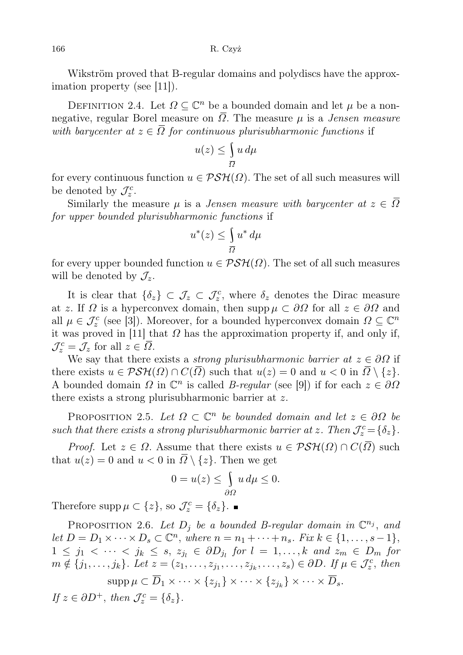166 R. Czyż

Wikström proved that B-regular domains and polydiscs have the approximation property (see [11]).

DEFINITION 2.4. Let  $\Omega \subseteq \mathbb{C}^n$  be a bounded domain and let  $\mu$  be a nonnegative, regular Borel measure on  $\overline{\Omega}$ . The measure  $\mu$  is a *Jensen measure* with barycenter at  $z \in \overline{\Omega}$  for continuous plurisubharmonic functions if

$$
u(z) \le \int\limits_{\overline{\Omega}} u \, d\mu
$$

for every continuous function  $u \in \mathcal{PSH}(\Omega)$ . The set of all such measures will be denoted by  $\mathcal{J}_z^c$ .

Similarly the measure  $\mu$  is a *Jensen measure with barycenter at*  $z \in \overline{\Omega}$ for upper bounded plurisubharmonic functions if

$$
u^*(z) \le \int_{\overline{\Omega}} u^* \, d\mu
$$

for every upper bounded function  $u \in \mathcal{PSH}(\Omega)$ . The set of all such measures will be denoted by  $\mathcal{J}_z$ .

It is clear that  $\{\delta_z\} \subset \mathcal{J}_z \subset \mathcal{J}_z^c$ , where  $\delta_z$  denotes the Dirac measure at z. If  $\Omega$  is a hyperconvex domain, then supp  $\mu \subset \partial \Omega$  for all  $z \in \partial \Omega$  and all  $\mu \in \mathcal{J}_z^c$  (see [3]). Moreover, for a bounded hyperconvex domain  $\Omega \subseteq \mathbb{C}^n$ it was proved in [11] that  $\Omega$  has the approximation property if, and only if,  $\mathcal{J}_z^c = \mathcal{J}_z$  for all  $z \in \overline{\Omega}$ .

We say that there exists a *strong plurisubharmonic barrier at*  $z \in \partial\Omega$  if there exists  $u \in \mathcal{PSH}(\Omega) \cap C(\overline{\Omega})$  such that  $u(z) = 0$  and  $u < 0$  in  $\overline{\Omega} \setminus \{z\}.$ A bounded domain  $\Omega$  in  $\mathbb{C}^n$  is called *B-regular* (see [9]) if for each  $z \in \partial \Omega$ there exists a strong plurisubharmonic barrier at z.

PROPOSITION 2.5. Let  $\Omega \subset \mathbb{C}^n$  be bounded domain and let  $z \in \partial \Omega$  be such that there exists a strong plurisubharmonic barrier at z. Then  $\mathcal{J}_z^c = \{\delta_z\}.$ 

*Proof.* Let  $z \in \Omega$ . Assume that there exists  $u \in \mathcal{PSH}(\Omega) \cap C(\overline{\Omega})$  such that  $u(z) = 0$  and  $u < 0$  in  $\overline{\Omega} \setminus \{z\}$ . Then we get

$$
0 = u(z) \le \int_{\partial \Omega} u \, d\mu \le 0.
$$

Therefore supp  $\mu \subset \{z\}$ , so  $\mathcal{J}_z^c = \{\delta_z\}.$ 

PROPOSITION 2.6. Let  $D_j$  be a bounded B-regular domain in  $\mathbb{C}^{n_j}$ , and let  $D = D_1 \times \cdots \times D_s \subset \mathbb{C}^n$ , where  $n = n_1 + \cdots + n_s$ . Fix  $k \in \{1, \ldots, s-1\}$ ,  $1 \leq j_1 < \cdots < j_k \leq s, z_{j_l} \in \partial D_{j_l}$  for  $l = 1, \ldots, k$  and  $z_m \in D_m$  for  $m \notin \{j_1, \ldots, j_k\}$ . Let  $z = (z_1, \ldots, z_{j_1}, \ldots, z_{j_k}, \ldots, z_s) \in \partial D$ . If  $\mu \in \mathcal{J}_z^c$ , then  $\mathrm{supp}\,\mu\subset D_1\times\cdots\times\{z_{j_1}\}\times\cdots\times\{z_{j_k}\}\times\cdots\times D_s.$ If  $z \in \partial D^+$ , then  $\mathcal{J}_z^c = \{\delta_z\}.$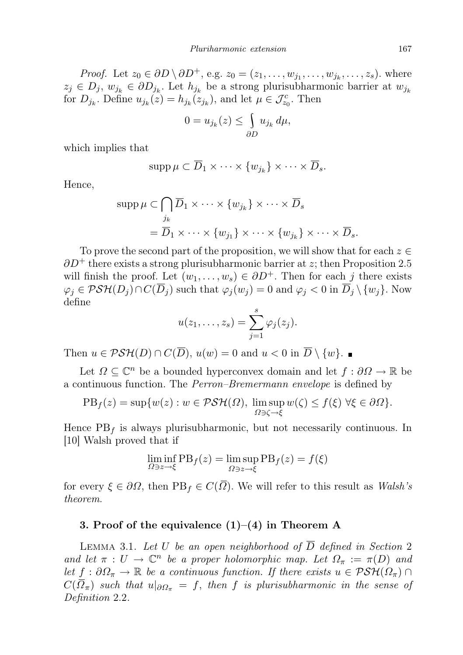*Proof.* Let  $z_0 \in \partial D \setminus \partial D^+$ , e.g.  $z_0 = (z_1, \ldots, w_{j_1}, \ldots, w_{j_k}, \ldots, z_s)$ . where  $z_j \in D_j$ ,  $w_{j_k} \in \partial D_{j_k}$ . Let  $h_{j_k}$  be a strong plurisubharmonic barrier at  $w_{j_k}$ for  $D_{j_k}$ . Define  $u_{j_k}(z) = h_{j_k}(z_{j_k})$ , and let  $\mu \in \mathcal{J}_{z_0}^c$ . Then

$$
0 = u_{j_k}(z) \le \int_{\partial D} u_{j_k} \, d\mu,
$$

which implies that

$$
\operatorname{supp}\mu\subset\overline{D}_1\times\cdots\times\{w_{j_k}\}\times\cdots\times\overline{D}_s.
$$

Hence,

$$
\text{supp}\,\mu \subset \bigcap_{j_k} \overline{D}_1 \times \cdots \times \{w_{j_k}\} \times \cdots \times \overline{D}_s
$$

$$
= \overline{D}_1 \times \cdots \times \{w_{j_1}\} \times \cdots \times \{w_{j_k}\} \times \cdots \times \overline{D}_s.
$$

To prove the second part of the proposition, we will show that for each  $z \in \mathbb{R}$  $\partial D^+$  there exists a strong plurisubharmonic barrier at z; then Proposition 2.5 will finish the proof. Let  $(w_1, \ldots, w_s) \in \partial D^+$ . Then for each j there exists  $\varphi_j \in \mathcal{PSH}(D_j) \cap C(\overline{D}_j)$  such that  $\varphi_j(w_j) = 0$  and  $\varphi_j < 0$  in  $\overline{D}_j \setminus \{w_j\}$ . Now define

$$
u(z_1,\ldots,z_s)=\sum_{j=1}^s\varphi_j(z_j).
$$

Then  $u \in \mathcal{PSH}(D) \cap C(\overline{D}), u(w) = 0$  and  $u < 0$  in  $\overline{D} \setminus \{w\}.$ 

Let  $\Omega \subseteq \mathbb{C}^n$  be a bounded hyperconvex domain and let  $f : \partial \Omega \to \mathbb{R}$  be a continuous function. The Perron–Bremermann envelope is defined by

$$
PBf(z) = \sup \{w(z) : w \in \mathcal{PSH}(\Omega), \limsup_{\Omega \ni \zeta \to \xi} w(\zeta) \le f(\xi) \,\forall \xi \in \partial \Omega\}.
$$

Hence  $PB<sub>f</sub>$  is always plurisubharmonic, but not necessarily continuous. In [10] Walsh proved that if

$$
\liminf_{\Omega\ni z\to\xi} \text{PB}_f(z) = \limsup_{\Omega\ni z\to\xi} \text{PB}_f(z) = f(\xi)
$$

for every  $\xi \in \partial \Omega$ , then  $PB_f \in C(\overline{\Omega})$ . We will refer to this result as *Walsh's* theorem.

## 3. Proof of the equivalence  $(1)-(4)$  in Theorem A

LEMMA 3.1. Let U be an open neighborhood of  $\overline{D}$  defined in Section 2 and let  $\pi: U \to \mathbb{C}^n$  be a proper holomorphic map. Let  $\Omega_{\pi} := \pi(D)$  and let  $f : \partial \Omega_{\pi} \to \mathbb{R}$  be a continuous function. If there exists  $u \in \mathcal{PSH}(\Omega_{\pi}) \cap$  $C(\overline{\Omega}_{\pi})$  such that  $u|_{\partial \Omega_{\pi}} = f$ , then f is plurisubharmonic in the sense of Definition 2.2.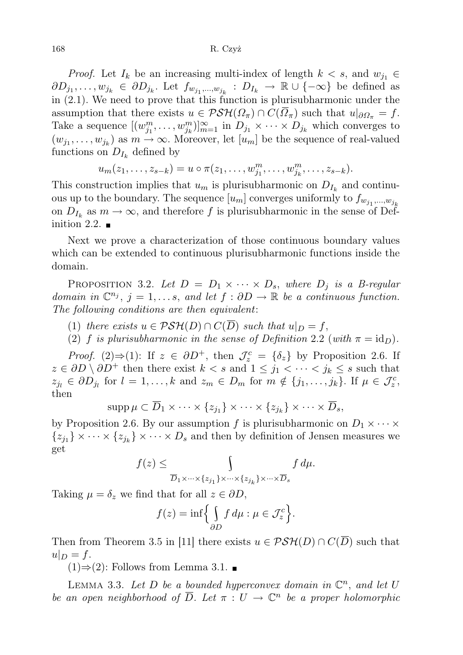#### 168 R. Czyż

*Proof.* Let  $I_k$  be an increasing multi-index of length  $k < s$ , and  $w_{j_1} \in$  $\partial D_{j_1},\ldots, w_{j_k} \in \partial D_{j_k}$ . Let  $f_{w_{j_1},\ldots, w_{j_k}} : D_{I_k} \to \mathbb{R} \cup \{-\infty\}$  be defined as in (2.1). We need to prove that this function is plurisubharmonic under the assumption that there exists  $u \in \mathcal{PSH}(\Omega_\pi) \cap C(\overline{\Omega}_\pi)$  such that  $u|_{\partial \Omega_\pi} = f$ . Take a sequence  $[(w_{j_1}^m, \ldots, w_{j_k}^m)]_{m=1}^{\infty}$  in  $D_{j_1} \times \cdots \times D_{j_k}$  which converges to  $(w_{j_1}, \ldots, w_{j_k})$  as  $m \to \infty$ . Moreover, let  $[u_m]$  be the sequence of real-valued functions on  $D_{I_k}$  defined by

$$
u_m(z_1,\ldots,z_{s-k})=u\circ \pi(z_1,\ldots,w_{j_1}^m,\ldots,w_{j_k}^m,\ldots,z_{s-k}).
$$

This construction implies that  $u_m$  is plurisubharmonic on  $D_{I_k}$  and continuous up to the boundary. The sequence  $[u_m]$  converges uniformly to  $f_{w_{j_1},...,w_{j_k}}$ on  $D_{I_k}$  as  $m \to \infty$ , and therefore f is plurisubharmonic in the sense of Definition 2.2.  $\blacksquare$ 

Next we prove a characterization of those continuous boundary values which can be extended to continuous plurisubharmonic functions inside the domain.

PROPOSITION 3.2. Let  $D = D_1 \times \cdots \times D_s$ , where  $D_j$  is a B-regular domain in  $\mathbb{C}^{n_j}$ ,  $j = 1, \ldots s$ , and let  $f : \partial D \to \mathbb{R}$  be a continuous function. The following conditions are then equivalent:

- (1) there exists  $u \in \mathcal{PSH}(D) \cap C(\overline{D})$  such that  $u|_D = f$ ,
- (2) f is plurisubharmonic in the sense of Definition 2.2 (with  $\pi = id_D$ ).

*Proof.* (2)⇒(1): If  $z \in \partial D^+$ , then  $\mathcal{J}_z^c = {\delta_z}$  by Proposition 2.6. If  $z \in \partial D \setminus \partial D^+$  then there exist  $k < s$  and  $1 \leq j_1 < \cdots < j_k \leq s$  such that  $z_{j_l} \in \partial D_{j_l}$  for  $l = 1, ..., k$  and  $z_m \in D_m$  for  $m \notin \{j_1, ..., j_k\}$ . If  $\mu \in \mathcal{J}_z^c$ , then

$$
\mathrm{supp}\,\mu\subset\overline{D}_1\times\cdots\times\{z_{j_1}\}\times\cdots\times\{z_{j_k}\}\times\cdots\times\overline{D}_s,
$$

by Proposition 2.6. By our assumption f is plurisubharmonic on  $D_1 \times \cdots \times$  ${z_{j_1}} \times \cdots \times {z_{j_k}} \times \cdots \times D_s$  and then by definition of Jensen measures we get

$$
f(z) \leq \int\limits_{\overline{D}_1 \times \cdots \times \{z_{j_1}\} \times \cdots \times \{z_{j_k}\} \times \cdots \times \overline{D}_s} f \, d\mu.
$$

Taking  $\mu = \delta_z$  we find that for all  $z \in \partial D$ ,

$$
f(z) = \inf \Biggl\{ \int_{\partial D} f \, d\mu : \mu \in \mathcal{J}_z^c \Biggr\}.
$$

Then from Theorem 3.5 in [11] there exists  $u \in \mathcal{PSH}(D) \cap C(\overline{D})$  such that  $u|_D = f$ .

 $(1) \Rightarrow (2)$ : Follows from Lemma 3.1. ■

LEMMA 3.3. Let D be a bounded hyperconvex domain in  $\mathbb{C}^n$ , and let U be an open neighborhood of  $\overline{D}$ . Let  $\pi: U \to \mathbb{C}^n$  be a proper holomorphic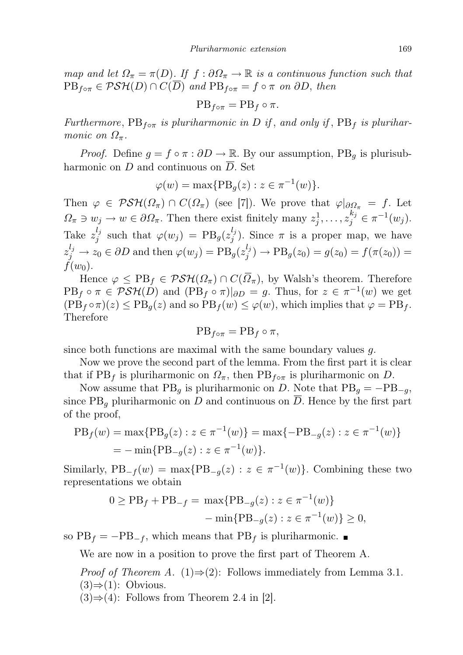map and let  $\Omega_{\pi} = \pi(D)$ . If  $f : \partial \Omega_{\pi} \to \mathbb{R}$  is a continuous function such that  $PB_{f \circ \pi} \in \mathcal{PSH}(D) \cap C(\overline{D})$  and  $PB_{f \circ \pi} = f \circ \pi$  on  $\partial D$ , then

$$
PB_{f\circ\pi} = PB_f \circ \pi.
$$

Furthermore,  $PB_{f \circ \pi}$  is pluriharmonic in D if, and only if,  $PB_f$  is pluriharmonic on  $\Omega_{\pi}$ .

*Proof.* Define  $g = f \circ \pi : \partial D \to \mathbb{R}$ . By our assumption, PB<sub>q</sub> is plurisubharmonic on D and continuous on  $\overline{D}$ . Set

$$
\varphi(w) = \max\{\text{PB}_g(z) : z \in \pi^{-1}(w)\}.
$$

Then  $\varphi \in \mathcal{PSH}(\Omega_{\pi}) \cap C(\Omega_{\pi})$  (see [7]). We prove that  $\varphi|_{\partial \Omega_{\pi}} = f$ . Let  $\Omega_{\pi} \ni w_j \to w \in \partial \Omega_{\pi}$ . Then there exist finitely many  $z_j^1, \ldots, z_j^{k_j} \in \pi^{-1}(w_j)$ . Take  $z_i^{l_j}$  $j_j^{l_j}$  such that  $\varphi(w_j) = PB_g(z_j^{l_j})$  $j^{ij}$ ). Since  $\pi$  is a proper map, we have  $z_j^{l_j} \rightarrow z_0 \in \partial D$  and then  $\varphi(w_j) = \text{PB}_g(z_j^{l_j})$  $j_j^{(i)}$ )  $\rightarrow$   $\text{PB}_g(z_0) = g(z_0) = f(\pi(z_0)) =$  $f(w_0)$ .

Hence  $\varphi \leq PB_f \in \mathcal{PSH}(\Omega_\pi) \cap C(\overline{\Omega}_\pi)$ , by Walsh's theorem. Therefore  $PB<sub>f</sub> \circ \pi \in \mathcal{PSH}(D)$  and  $(PB<sub>f</sub> \circ \pi)|_{\partial D} = g$ . Thus, for  $z \in \pi^{-1}(w)$  we get  $(PB<sub>f</sub> \circ \pi)(z) \le PB<sub>q</sub>(z)$  and so  $PB<sub>f</sub>(w) \le \varphi(w)$ , which implies that  $\varphi = PB<sub>f</sub>$ . Therefore

$$
PB_{f\circ\pi} = PB_f \circ \pi,
$$

since both functions are maximal with the same boundary values g.

Now we prove the second part of the lemma. From the first part it is clear that if PB<sub>f</sub> is pluriharmonic on  $\Omega_{\pi}$ , then PB<sub>f</sub><sub>o</sub> $_{\pi}$  is pluriharmonic on D.

Now assume that  $PB_q$  is pluriharmonic on D. Note that  $PB_q = -PB_{-q}$ , since  $PB_{q}$  pluriharmonic on D and continuous on  $\overline{D}$ . Hence by the first part of the proof,

$$
PBf(w) = \max\{PBg(z) : z \in \pi^{-1}(w)\} = \max\{-PB-g(z) : z \in \pi^{-1}(w)\}
$$
  
=  $-\min\{PB-g(z) : z \in \pi^{-1}(w)\}.$ 

Similarly,  $PB_{-f}(w) = \max\{PB_{-g}(z) : z \in \pi^{-1}(w)\}\.$  Combining these two representations we obtain

$$
0 \ge PB_f + PB_{-f} = \max\{PB_{-g}(z) : z \in \pi^{-1}(w)\}
$$
  
- 
$$
-\min\{PB_{-g}(z) : z \in \pi^{-1}(w)\} \ge 0,
$$

so  $PB_f = -PB_{-f}$ , which means that  $PB_f$  is pluriharmonic.

We are now in a position to prove the first part of Theorem A.

*Proof of Theorem A.* (1) $\Rightarrow$ (2): Follows immediately from Lemma 3.1.  $(3) \Rightarrow (1)$ : Obvious.

 $(3) \Rightarrow (4)$ : Follows from Theorem 2.4 in [2].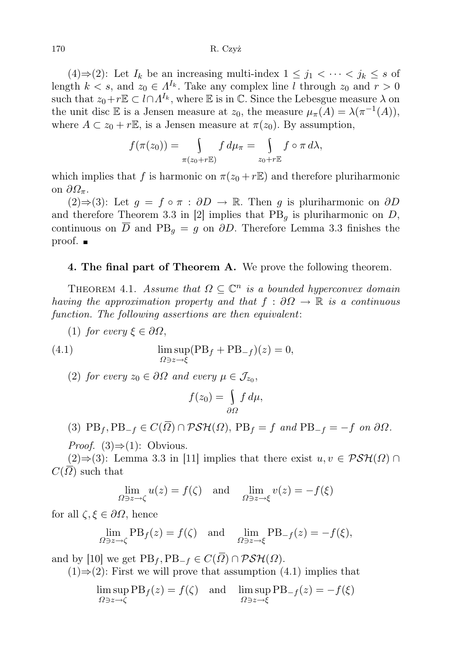(4)⇒(2): Let  $I_k$  be an increasing multi-index  $1 \leq j_1 < \cdots < j_k \leq s$  of length  $k < s$ , and  $z_0 \in \Lambda^{I_k}$ . Take any complex line l through  $z_0$  and  $r > 0$ such that  $z_0+r\mathbb{E}\subset l\cap\Lambda^{I_k}$ , where  $\mathbb E$  is in  $\mathbb C$ . Since the Lebesgue measure  $\lambda$  on the unit disc E is a Jensen measure at  $z_0$ , the measure  $\mu_{\pi}(A) = \lambda(\pi^{-1}(A)),$ where  $A \subset z_0 + r\mathbb{E}$ , is a Jensen measure at  $\pi(z_0)$ . By assumption,

$$
f(\pi(z_0)) = \int\limits_{\pi(z_0+r\mathbb{E})} f d\mu_{\pi} = \int\limits_{z_0+r\mathbb{E}} f \circ \pi d\lambda,
$$

which implies that f is harmonic on  $\pi(z_0 + r\mathbb{E})$  and therefore pluriharmonic on  $\partial \Omega_{\pi}$ .

(2)⇒(3): Let  $g = f \circ \pi : \partial D \to \mathbb{R}$ . Then g is pluriharmonic on  $\partial D$ and therefore Theorem 3.3 in [2] implies that  $PB<sub>g</sub>$  is pluriharmonic on D, continuous on  $\overline{D}$  and PB<sub>q</sub> = g on  $\partial D$ . Therefore Lemma 3.3 finishes the proof.

### 4. The final part of Theorem A. We prove the following theorem.

THEOREM 4.1. Assume that  $\Omega \subseteq \mathbb{C}^n$  is a bounded hyperconvex domain having the approximation property and that  $f : \partial\Omega \to \mathbb{R}$  is a continuous function. The following assertions are then equivalent:

(1) for every  $\xi \in \partial \Omega$ ,

(4.1) 
$$
\limsup_{\Omega \ni z \to \xi} (\text{PB}_f + \text{PB}_{-f})(z) = 0,
$$

(2) for every  $z_0 \in \partial \Omega$  and every  $\mu \in \mathcal{J}_{z_0}$ ,

$$
f(z_0) = \int_{\partial \Omega} f \, d\mu,
$$

(3) 
$$
PB_f
$$
,  $PB_{-f} \in C(\overline{\Omega}) \cap \mathcal{PSH}(\Omega)$ ,  $PB_f = f$  and  $PB_{-f} = -f$  on  $\partial\Omega$ .

*Proof.* (3) $\Rightarrow$ (1): Obvious.

 $(2) \Rightarrow (3)$ : Lemma 3.3 in [11] implies that there exist  $u, v \in \mathcal{PSH}(\Omega) \cap$  $C(\Omega)$  such that

$$
\lim_{\Omega \ni z \to \zeta} u(z) = f(\zeta) \quad \text{and} \quad \lim_{\Omega \ni z \to \xi} v(z) = -f(\xi)
$$

for all  $\zeta, \xi \in \partial \Omega$ , hence

$$
\lim_{\Omega \ni z \to \zeta} \text{PB}_f(z) = f(\zeta) \quad \text{and} \quad \lim_{\Omega \ni z \to \xi} \text{PB}_{-f}(z) = -f(\xi),
$$

and by [10] we get  $PB_f, PB_{-f} \in C(\overline{\Omega}) \cap \mathcal{PSH}(\Omega)$ .

 $(1) \Rightarrow (2)$ : First we will prove that assumption  $(4.1)$  implies that

lim sup  $\limsup_{\Omega \ni z \to \zeta} \text{PB}_f(z) = f(\zeta)$  and  $\limsup_{\Omega \ni z \to \zeta} \text{PB}_{-f}(z) = -f(\xi)$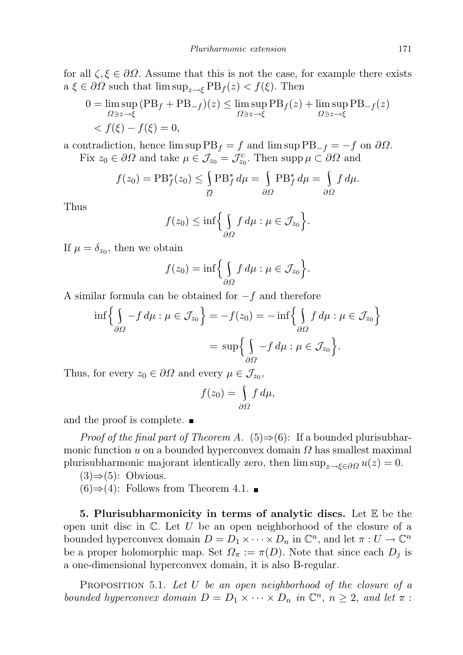for all  $\zeta, \xi \in \partial \Omega$ . Assume that this is not the case, for example there exists a  $\xi \in \partial \Omega$  such that  $\limsup_{z \to \xi} \text{PB}_f(z) < f(\xi)$ . Then

$$
0 = \limsup_{\Omega \ni z \to \xi} (PB_f + PB_{-f})(z) \le \limsup_{\Omega \ni z \to \xi} PB_f(z) + \limsup_{\Omega \ni z \to \xi} PB_{-f}(z)
$$
  

$$
< f(\xi) - f(\xi) = 0,
$$

a contradiction, hence lim sup  $PB_f = f$  and lim sup  $PB_{-f} = -f$  on  $\partial\Omega$ .

Fix  $z_0 \in \partial \Omega$  and take  $\mu \in \mathcal{J}_{z_0} = \mathcal{J}_{z_0}^c$ . Then supp  $\mu \subset \partial \Omega$  and

$$
f(z_0) = \mathrm{PB}_{f}^{*}(z_0) \le \int_{\overline{\Omega}} \mathrm{PB}_{f}^{*} d\mu = \int_{\partial \Omega} \mathrm{PB}_{f}^{*} d\mu = \int_{\partial \Omega} f d\mu.
$$

Thus

$$
f(z_0) \leq \inf \Biggl\{ \int_{\partial \Omega} f \, d\mu : \mu \in \mathcal{J}_{z_0} \Biggr\}.
$$

If  $\mu = \delta_{z_0}$ , then we obtain

$$
f(z_0)=\inf\Biggl\{\int\limits_{\partial\Omega}f\,d\mu:\mu\in\mathcal{J}_{z_0}\Biggr\}.
$$

A similar formula can be obtained for  $-f$  and therefore

$$
\inf \left\{ \int_{\partial \Omega} -f \, d\mu : \mu \in \mathcal{J}_{z_0} \right\} = -f(z_0) = -\inf \left\{ \int_{\partial \Omega} f \, d\mu : \mu \in \mathcal{J}_{z_0} \right\}
$$

$$
= \sup \left\{ \int_{\partial \Omega} -f \, d\mu : \mu \in \mathcal{J}_{z_0} \right\}.
$$

Thus, for every  $z_0 \in \partial \Omega$  and every  $\mu \in \mathcal{J}_{z_0}$ ,

$$
f(z_0) = \int\limits_{\partial\Omega} f d\mu,
$$

and the proof is complete.

*Proof of the final part of Theorem A.* (5) $\Rightarrow$ (6): If a bounded plurisubharmonic function u on a bounded hyperconvex domain  $\Omega$  has smallest maximal plurisubharmonic majorant identically zero, then  $\limsup_{z \to \xi \in \partial \Omega} u(z) = 0$ .

 $(3) \Rightarrow (5)$ : Obvious.

 $(6) \Rightarrow (4)$ : Follows from Theorem 4.1. ■

5. Plurisubharmonicity in terms of analytic discs. Let  $\mathbb E$  be the open unit disc in  $\mathbb C$ . Let U be an open neighborhood of the closure of a bounded hyperconvex domain  $D = D_1 \times \cdots \times D_n$  in  $\mathbb{C}^n$ , and let  $\pi : U \to \mathbb{C}^n$ be a proper holomorphic map. Set  $\Omega_{\pi} := \pi(D)$ . Note that since each  $D_i$  is a one-dimensional hyperconvex domain, it is also B-regular.

PROPOSITION 5.1. Let U be an open neighborhood of the closure of a bounded hyperconvex domain  $D = D_1 \times \cdots \times D_n$  in  $\mathbb{C}^n$ ,  $n \geq 2$ , and let  $\pi$ :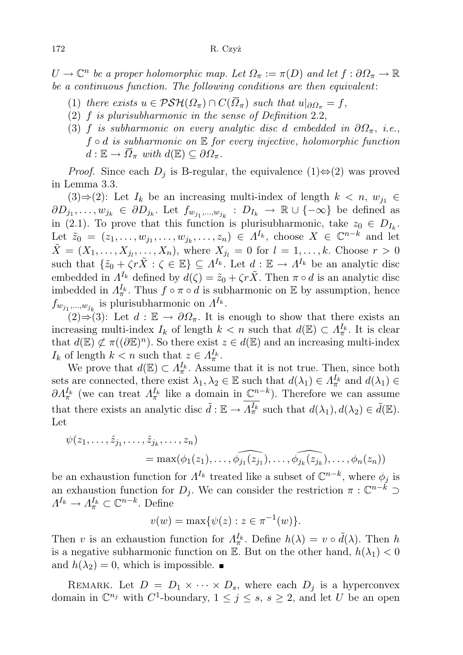$U \to \mathbb{C}^n$  be a proper holomorphic map. Let  $\Omega_\pi := \pi(D)$  and let  $f : \partial \Omega_\pi \to \mathbb{R}$ be a continuous function. The following conditions are then equivalent:

- (1) there exists  $u \in \mathcal{PSH}(\Omega_\pi) \cap C(\overline{\Omega}_\pi)$  such that  $u|_{\partial \Omega_\pi} = f$ ,
- (2)  $f$  is plurisubharmonic in the sense of Definition 2.2,
- (3) f is subharmonic on every analytic disc d embedded in  $\partial\Omega_{\pi}$ , i.e.,  $f \circ d$  is subharmonic on  $E$  for every injective, holomorphic function  $d: \mathbb{E} \to \overline{\Omega}_{\pi}$  with  $d(\mathbb{E}) \subseteq \partial \Omega_{\pi}$ .

*Proof.* Since each  $D_j$  is B-regular, the equivalence  $(1) \Leftrightarrow (2)$  was proved in Lemma 3.3.

(3)⇒(2): Let  $I_k$  be an increasing multi-index of length  $k < n$ ,  $w_{j_1} \in$  $\partial D_{j_1},\ldots,\psi_{j_k} \in \partial D_{j_k}$ . Let  $f_{w_{j_1},\ldots,w_{j_k}} : D_{I_k} \to \mathbb{R} \cup \{-\infty\}$  be defined as in (2.1). To prove that this function is plurisubharmonic, take  $z_0 \in D_{I_k}$ . Let  $\tilde{z}_0 = (z_1, \ldots, w_{j_1}, \ldots, w_{j_k}, \ldots, z_n) \in \Lambda^{I_k}$ , choose  $X \in \mathbb{C}^{n-k}$  and let  $\tilde{X} = (X_1, \ldots, X_{j_l}, \ldots, X_n)$ , where  $X_{j_l} = 0$  for  $l = 1, \ldots, k$ . Choose  $r > 0$ such that  $\{\tilde{z}_0 + \zeta r\tilde{X} : \zeta \in \mathbb{E}\}\subseteq \Lambda^{I_k}$ . Let  $d : \mathbb{E} \to \Lambda^{I_k}$  be an analytic disc embedded in  $\Lambda^{I_k}$  defined by  $d(\zeta) = \tilde{z}_0 + \zeta r \tilde{X}$ . Then  $\pi \circ d$  is an analytic disc imbedded in  $A_{\pi}^{I_k}$ . Thus  $f \circ \pi \circ d$  is subharmonic on E by assumption, hence  $f_{w_{j_1},...,w_{j_k}}$  is plurisubharmonic on  $\Lambda^{I_k}$ .

 $(2) \Rightarrow (3)$ : Let  $d : \mathbb{E} \to \partial \Omega_{\pi}$ . It is enough to show that there exists an increasing multi-index  $I_k$  of length  $k < n$  such that  $d(\mathbb{E}) \subset \Lambda_{\pi}^{I_k}$ . It is clear that  $d(\mathbb{E}) \not\subset \pi((\partial \mathbb{E})^n)$ . So there exist  $z \in d(\mathbb{E})$  and an increasing multi-index  $I_k$  of length  $k < n$  such that  $z \in \Lambda_{\pi}^{I_k}$ .

We prove that  $d(\mathbb{E}) \subset \Lambda_{\pi}^{I_k}$ . Assume that it is not true. Then, since both sets are connected, there exist  $\lambda_1, \lambda_2 \in \mathbb{E}$  such that  $d(\lambda_1) \in \Lambda_{\pi}^{I_k}$  and  $d(\lambda_1) \in$  $\partial \Lambda_{\pi}^{I_k}$  (we can treat  $\Lambda_{\pi}^{I_k}$  like a domain in  $\mathbb{C}^{n-k}$ ). Therefore we can assume that there exists an analytic disc  $\tilde{d} : \mathbb{E} \to \Lambda_{\pi}^{I_k}$  such that  $d(\lambda_1), d(\lambda_2) \in \tilde{d}(\mathbb{E})$ . Let

$$
\psi(z_1,\ldots,\hat{z}_{j_1},\ldots,\hat{z}_{j_k},\ldots,z_n)
$$
  
= max( $\phi_1(z_1),\ldots,\widehat{\phi_{j_1}(z_{j_1})},\ldots,\widehat{\phi_{j_k}(z_{j_k})},\ldots,\phi_n(z_n)$ )

be an exhaustion function for  $\Lambda^{I_k}$  treated like a subset of  $\mathbb{C}^{n-k}$ , where  $\phi_j$  is an exhaustion function for  $D_j$ . We can consider the restriction  $\pi : \mathbb{C}^{n-k} \supset$  $\Lambda^{I_k} \to \Lambda^{I_k}_\pi \subset \mathbb{C}^{n-k}$ . Define

$$
v(w) = \max\{\psi(z) : z \in \pi^{-1}(w)\}.
$$

Then v is an exhaustion function for  $\Lambda_{\pi}^{I_k}$ . Define  $h(\lambda) = v \circ \tilde{d}(\lambda)$ . Then h is a negative subharmonic function on E. But on the other hand,  $h(\lambda_1) < 0$ and  $h(\lambda_2) = 0$ , which is impossible.

REMARK. Let  $D = D_1 \times \cdots \times D_s$ , where each  $D_i$  is a hyperconvex domain in  $\mathbb{C}^{n_j}$  with  $C^1$ -boundary,  $1 \leq j \leq s$ ,  $s \geq 2$ , and let U be an open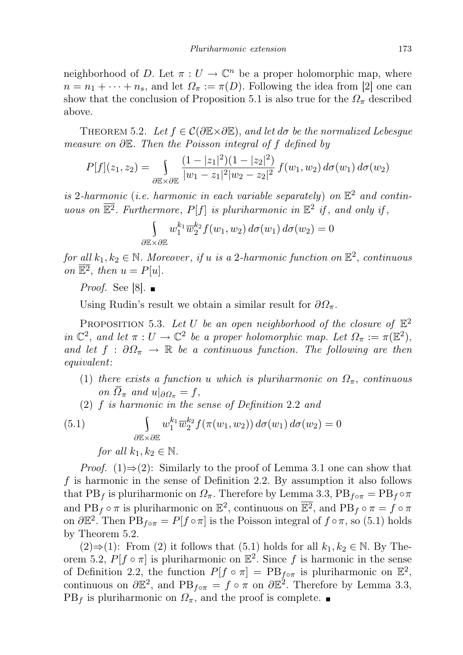neighborhood of D. Let  $\pi: U \to \mathbb{C}^n$  be a proper holomorphic map, where  $n = n_1 + \cdots + n_s$ , and let  $\Omega_{\pi} := \pi(D)$ . Following the idea from [2] one can show that the conclusion of Proposition 5.1 is also true for the  $\varOmega_\pi$  described above.

THEOREM 5.2. Let  $f \in \mathcal{C}(\partial \mathbb{E} \times \partial \mathbb{E})$ , and let  $d\sigma$  be the normalized Lebesque measure on ∂E. Then the Poisson integral of f defined by

$$
P[f](z_1, z_2) = \int_{\partial \mathbb{E} \times \partial \mathbb{E}} \frac{(1 - |z_1|^2)(1 - |z_2|^2)}{|w_1 - z_1|^2 |w_2 - z_2|^2} f(w_1, w_2) d\sigma(w_1) d\sigma(w_2)
$$

is 2-harmonic (i.e. harmonic in each variable separately) on  $\mathbb{E}^2$  and continuous on  $\overline{\mathbb{E}^2}$ . Furthermore,  $P[f]$  is pluriharmonic in  $\mathbb{E}^2$  if, and only if,

$$
\int_{\partial\mathbb{E}\times\partial\mathbb{E}} w_1^{k_1}\overline{w}_2^{k_2} f(w_1,w_2) d\sigma(w_1) d\sigma(w_2) = 0
$$

for all  $k_1, k_2 \in \mathbb{N}$ . Moreover, if u is a 2-harmonic function on  $\mathbb{E}^2$ , continuous on  $\mathbb{E}^2$ , then  $u = P[u]$ .

*Proof.* See [8].

Using Rudin's result we obtain a similar result for  $\partial\Omega_{\pi}$ .

PROPOSITION 5.3. Let U be an open neighborhood of the closure of  $\mathbb{E}^2$ in  $\mathbb{C}^2$ , and let  $\pi: U \to \mathbb{C}^2$  be a proper holomorphic map. Let  $\Omega_{\pi} := \pi(\mathbb{E}^2)$ , and let  $f : \partial \Omega_{\pi} \to \mathbb{R}$  be a continuous function. The following are then equivalent:

- (1) there exists a function u which is pluriharmonic on  $\Omega_{\pi}$ , continuous on  $\overline{\Omega}_{\pi}$  and  $u|_{\partial \Omega_{\pi}} = f$ ,
- (2) f is harmonic in the sense of Definition 2.2 and

(5.1) 
$$
\int_{\partial \mathbb{E} \times \partial \mathbb{E}} w_1^{k_1} \overline{w}_2^{k_2} f(\pi(w_1, w_2)) d\sigma(w_1) d\sigma(w_2) = 0
$$
  
for all  $k_1, k_2 \in \mathbb{N}$ .

*Proof.* (1)⇒(2): Similarly to the proof of Lemma 3.1 one can show that f is harmonic in the sense of Definition 2.2. By assumption it also follows that PB<sub>f</sub> is pluriharmonic on  $\Omega_{\pi}$ . Therefore by Lemma 3.3, PB<sub>f</sub><sub>o</sub> $\pi = PB_f \circ \pi$ and PB<sub>f</sub>  $\circ \pi$  is pluriharmonic on  $\mathbb{E}^2$ , continuous on  $\overline{\mathbb{E}^2}$ , and PB<sub>f</sub>  $\circ \pi = f \circ \pi$ on  $\partial \mathbb{E}^2$ . Then  $PB_{f \circ \pi} = P[f \circ \pi]$  is the Poisson integral of  $f \circ \pi$ , so (5.1) holds by Theorem 5.2.

 $(2) \Rightarrow (1)$ : From  $(2)$  it follows that  $(5.1)$  holds for all  $k_1, k_2 \in \mathbb{N}$ . By Theorem 5.2,  $P[f \circ \pi]$  is pluriharmonic on  $\mathbb{E}^2$ . Since f is harmonic in the sense of Definition 2.2, the function  $P[f \circ \pi] = PB_{f \circ \pi}$  is pluriharmonic on  $\mathbb{E}^2$ , continuous on  $\partial \mathbb{E}^2$ , and  $PB_{f \circ \pi} = f \circ \pi$  on  $\partial \mathbb{E}^2$ . Therefore by Lemma 3.3,  $PB<sub>f</sub>$  is pluriharmonic on  $\Omega_{\pi}$ , and the proof is complete.